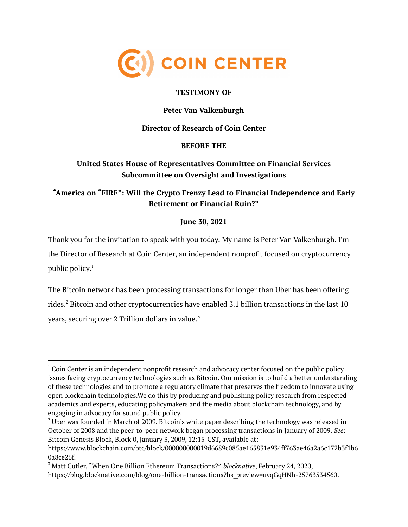

#### **TESTIMONY OF**

## **Peter Van Valkenburgh**

#### **Director of Research of Coin Center**

#### **BEFORE THE**

# **United States House of Representatives Committee on Financial Services Subcommittee on Oversight and Investigations**

# **"America on "FIRE": Will the Crypto Frenzy Lead to Financial Independence and Early Retirement or Financial Ruin?"**

## **June 30, 2021**

Thank you for the invitation to speak with you today. My name is Peter Van Valkenburgh. I'm the Director of Research at Coin Center, an independent nonprofit focused on cryptocurrency public policy. 1

The Bitcoin network has been processing transactions for longer than Uber has been offering rides. <sup>2</sup> Bitcoin and other cryptocurrencies have enabled 3.1 billion transactions in the last 10 years, securing over  $2$  Trillion dollars in value. $^{\text{3}}$ 

 $1$  Coin Center is an independent nonprofit research and advocacy center focused on the public policy issues facing cryptocurrency technologies such as Bitcoin. Our mission is to build a better understanding of these technologies and to promote a regulatory climate that preserves the freedom to innovate using open blockchain technologies.We do this by producing and publishing policy research from respected academics and experts, educating policymakers and the media about blockchain technology, and by engaging in advocacy for sound public policy.

 $<sup>2</sup>$  Uber was founded in March of 2009. Bitcoin's white paper describing the technology was released in</sup> October of 2008 and the peer-to-peer network began processing transactions in January of 2009. *See*: Bitcoin Genesis Block, Block 0, January 3, 2009, 12:15 CST, available at:

https://www.blockchain.com/btc/block/000000000019d6689c085ae165831e934ff763ae46a2a6c172b3f1b6 0a8ce26f.

<sup>3</sup> Matt Cutler, "When One Billion Ethereum Transactions?" *blocknative*, February 24, 2020, https://blog.blocknative.com/blog/one-billion-transactions?hs\_preview=uvqGqHNh-25763534560.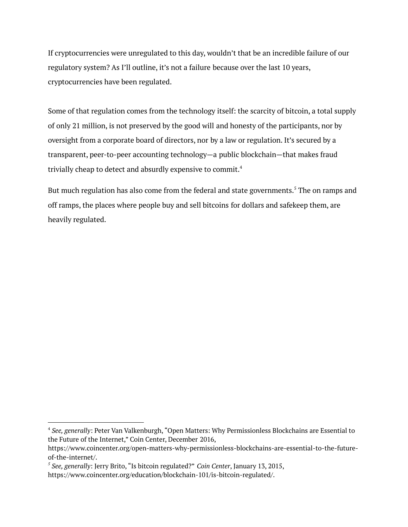If cryptocurrencies were unregulated to this day, wouldn't that be an incredible failure of our regulatory system? As I'll outline, it's not a failure because over the last 10 years, cryptocurrencies have been regulated.

Some of that regulation comes from the technology itself: the scarcity of bitcoin, a total supply of only 21 million, is not preserved by the good will and honesty of the participants, nor by oversight from a corporate board of directors, nor by a law or regulation. It's secured by a transparent, peer-to-peer accounting technology—a public blockchain—that makes fraud trivially cheap to detect and absurdly expensive to commit. $^4$ 

But much regulation has also come from the federal and state governments.<sup>5</sup> The on ramps and off ramps, the places where people buy and sell bitcoins for dollars and safekeep them, are heavily regulated.

<sup>4</sup> *See, generally*: Peter Van Valkenburgh, "Open Matters: Why Permissionless Blockchains are Essential to the Future of the Internet," Coin Center, December 2016,

https://www.coincenter.org/open-matters-why-permissionless-blockchains-are-essential-to-the-futureof-the-internet/.

*<sup>5</sup> See, generally*: Jerry Brito, "Is bitcoin regulated?" *Coin Center*, January 13, 2015,

https://www.coincenter.org/education/blockchain-101/is-bitcoin-regulated/.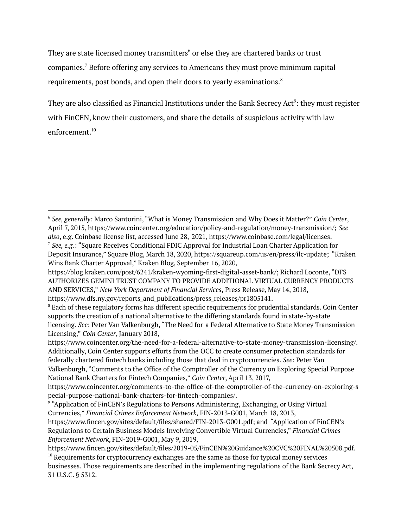They are state licensed money transmitters $^6$  or else they are chartered banks or trust companies. <sup>7</sup> Before offering any services to Americans they must prove minimum capital requirements, post bonds, and open their doors to yearly examinations. $^8$ 

They are also classified as Financial Institutions under the Bank Secrecy Act $^{\circ}$ : they must register with FinCEN, know their customers, and share the details of suspicious activity with law enforcement. 10

<sup>6</sup> *See, generally*: Marco Santorini, "What is Money Transmission and Why Does it Matter?" *Coin Center*, April 7, 2015, https://www.coincenter.org/education/policy-and-regulation/money-transmission/; *See also*, e.g. Coinbase license list, accessed June 28, 2021, https://www.coinbase.com/legal/licenses.

<sup>7</sup> *See, e.g*.: "Square Receives Conditional FDIC Approval for Industrial Loan Charter Application for Deposit Insurance," Square Blog, March 18, 2020, https://squareup.com/us/en/press/ilc-update; "Kraken Wins Bank Charter Approval," Kraken Blog, September 16, 2020,

https://blog.kraken.com/post/6241/kraken-wyoming-first-digital-asset-bank/; Richard Loconte, "DFS AUTHORIZES GEMINI TRUST COMPANY TO PROVIDE ADDITIONAL VIRTUAL CURRENCY PRODUCTS AND SERVICES," *New York Department of Financial Services*, Press Release, May 14, 2018, https://www.dfs.ny.gov/reports\_and\_publications/press\_releases/pr1805141.

<sup>&</sup>lt;sup>8</sup> Each of these regulatory forms has different specific requirements for prudential standards. Coin Center supports the creation of a national alternative to the differing standards found in state-by-state licensing. *See*: Peter Van Valkenburgh, "The Need for a Federal Alternative to State Money Transmission Licensing," *Coin Center*, January 2018,

https://www.coincenter.org/the-need-for-a-federal-alternative-to-state-money-transmission-licensing/. Additionally, Coin Center supports efforts from the OCC to create consumer protection standards for federally chartered fintech banks including those that deal in cryptocurrencies. *See*: Peter Van Valkenburgh, "Comments to the Office of the Comptroller of the Currency on Exploring Special Purpose

National Bank Charters for Fintech Companies," *Coin Center*, April 13, 2017, https://www.coincenter.org/comments-to-the-office-of-the-comptroller-of-the-currency-on-exploring-s pecial-purpose-national-bank-charters-for-fintech-companies/.

<sup>&</sup>lt;sup>9</sup> "Application of FinCEN's Regulations to Persons Administering, Exchanging, or Using Virtual Currencies," *Financial Crimes Enforcement Network*, FIN-2013-G001, March 18, 2013,

https://www.fincen.gov/sites/default/files/shared/FIN-2013-G001.pdf; and "Application of FinCEN's Regulations to Certain Business Models Involving Convertible Virtual Currencies," *Financial Crimes Enforcement Network*, FIN-2019-G001, May 9, 2019,

 $10$  Requirements for cryptocurrency exchanges are the same as those for typical money services businesses. Those requirements are described in the implementing regulations of the Bank Secrecy Act, 31 U.S.C. § 5312. https://www.fincen.gov/sites/default/files/2019-05/FinCEN%20Guidance%20CVC%20FINAL%20508.pdf.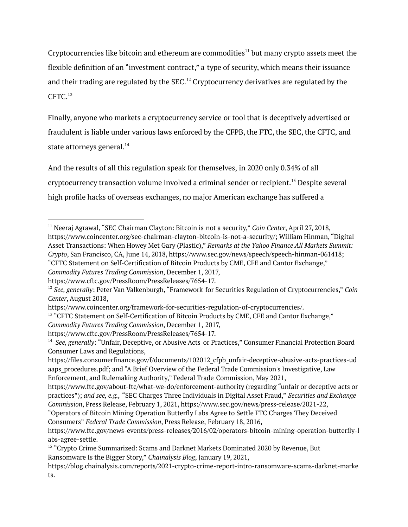Cryptocurrencies like bitcoin and ethereum are commodities $^{11}$  but many crypto assets meet the flexible definition of an "investment contract," a type of security, which means their issuance and their trading are regulated by the SEC. $^{\rm 12}$  Cryptocurrency derivatives are regulated by the CFTC. 13

Finally, anyone who markets a cryptocurrency service or tool that is deceptively advertised or fraudulent is liable under various laws enforced by the CFPB, the FTC, the SEC, the CFTC, and state attorneys general. $^{\rm 14}$ 

And the results of all this regulation speak for themselves, in 2020 only 0.34% of all cryptocurrency transaction volume involved a criminal sender or recipient. <sup>15</sup> Despite several high profile hacks of overseas exchanges, no major American exchange has suffered a

<sup>11</sup> Neeraj Agrawal, "SEC Chairman Clayton: Bitcoin is not a security," *Coin Center*, April 27, 2018, https://www.coincenter.org/sec-chairman-clayton-bitcoin-is-not-a-security/; William Hinman, "Digital Asset Transactions: When Howey Met Gary (Plastic)," *Remarks at the Yahoo Finance All Markets Summit: Crypto*, San Francisco, CA, June 14, 2018, https://www.sec.gov/news/speech/speech-hinman-061418; "CFTC Statement on Self-Certification of Bitcoin Products by CME, CFE and Cantor Exchange," *Commodity Futures Trading Commission*, December 1, 2017,

https://www.cftc.gov/PressRoom/PressReleases/7654-17.

<sup>12</sup> *See, generally*: Peter Van Valkenburgh, "Framework for Securities Regulation of Cryptocurrencies," *Coin Center*, August 2018,

https://www.coincenter.org/framework-for-securities-regulation-of-cryptocurrencies/.

<sup>&</sup>lt;sup>13</sup> "CFTC Statement on Self-Certification of Bitcoin Products by CME, CFE and Cantor Exchange," *Commodity Futures Trading Commission*, December 1, 2017,

https://www.cftc.gov/PressRoom/PressReleases/7654-17.

<sup>14</sup> *See, generally*: "Unfair, Deceptive, or Abusive Acts or Practices," Consumer Financial Protection Board Consumer Laws and Regulations,

https://files.consumerfinance.gov/f/documents/102012\_cfpb\_unfair-deceptive-abusive-acts-practices-ud aaps procedures.pdf; and "A Brief Overview of the Federal Trade Commission's Investigative, Law Enforcement, and Rulemaking Authority," Federal Trade Commission, May 2021,

https://www.ftc.gov/about-ftc/what-we-do/enforcement-authority (regarding "unfair or deceptive acts or practices"); *and see, e.g.,* "SEC Charges Three Individuals in Digital Asset Fraud," *Securities and Exchange Commission*, Press Release, February 1, 2021, https://www.sec.gov/news/press-release/2021-22,

<sup>&</sup>quot;Operators of Bitcoin Mining Operation Butterfly Labs Agree to Settle FTC Charges They Deceived Consumers" *Federal Trade Commission*, Press Release, February 18, 2016,

https://www.ftc.gov/news-events/press-releases/2016/02/operators-bitcoin-mining-operation-butterfly-l abs-agree-settle.

<sup>&</sup>lt;sup>15</sup> "Crypto Crime Summarized: Scams and Darknet Markets Dominated 2020 by Revenue, But Ransomware Is the Bigger Story," *Chainalysis Blog*, January 19, 2021,

https://blog.chainalysis.com/reports/2021-crypto-crime-report-intro-ransomware-scams-darknet-marke ts.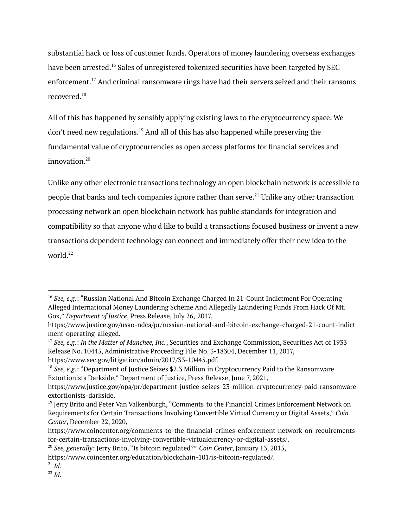substantial hack or loss of customer funds. Operators of money laundering overseas exchanges have been arrested.<sup>16</sup> Sales of unregistered tokenized securities have been targeted by SEC enforcement.<sup>17</sup> And criminal ransomware rings have had their servers seized and their ransoms recovered.<sup>18</sup>

All of this has happened by sensibly applying existing laws to the cryptocurrency space. We don't need new regulations.<sup>19</sup> And all of this has also happened while preserving the fundamental value of cryptocurrencies as open access platforms for financial services and innovation. 20

Unlike any other electronic transactions technology an open blockchain network is accessible to people that banks and tech companies ignore rather than serve. $^{21}$  Unlike any other transaction processing network an open blockchain network has public standards for integration and compatibility so that anyone who'd like to build a transactions focused business or invent a new transactions dependent technology can connect and immediately offer their new idea to the world. 22

<sup>16</sup> *See, e.g.*: "Russian National And Bitcoin Exchange Charged In 21-Count Indictment For Operating Alleged International Money Laundering Scheme And Allegedly Laundering Funds From Hack Of Mt. Gox," *Department of Justice*, Press Release, July 26, 2017,

https://www.justice.gov/usao-ndca/pr/russian-national-and-bitcoin-exchange-charged-21-count-indict ment-operating-alleged.

<sup>17</sup> *See, e.g.*: *In the Matter of Munchee, Inc.*, Securities and Exchange Commission, Securities Act of 1933 Release No. 10445, Administrative Proceeding File No. 3-18304, December 11, 2017, https://www.sec.gov/litigation/admin/2017/33-10445.pdf.

<sup>18</sup> *See, e.g.*: "Department of Justice Seizes \$2.3 Million in Cryptocurrency Paid to the Ransomware Extortionists Darkside," Department of Justice, Press Release, June 7, 2021,

https://www.justice.gov/opa/pr/department-justice-seizes-23-million-cryptocurrency-paid-ransomwareextortionists-darkside.

<sup>&</sup>lt;sup>19</sup> Jerry Brito and Peter Van Valkenburgh, "Comments to the Financial Crimes Enforcement Network on Requirements for Certain Transactions Involving Convertible Virtual Currency or Digital Assets," *Coin Center*, December 22, 2020,

https://www.coincenter.org/comments-to-the-financial-crimes-enforcement-network-on-requirementsfor-certain-transactions-involving-convertible-virtualcurrency-or-digital-assets/.

<sup>20</sup> *See, generally*: Jerry Brito, "Is bitcoin regulated?" *Coin Center*, January 13, 2015,

https://www.coincenter.org/education/blockchain-101/is-bitcoin-regulated/.

<sup>21</sup> *Id*.

<sup>22</sup> *Id*.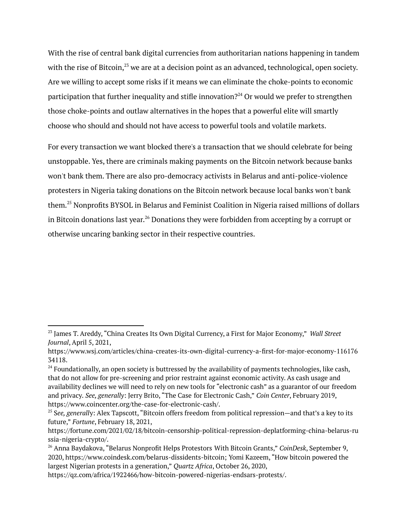With the rise of central bank digital currencies from authoritarian nations happening in tandem with the rise of Bitcoin, $^{23}$  we are at a decision point as an advanced, technological, open society. Are we willing to accept some risks if it means we can eliminate the choke-points to economic participation that further inequality and stifle innovation? $^{24}$  Or would we prefer to strengthen those choke-points and outlaw alternatives in the hopes that a powerful elite will smartly choose who should and should not have access to powerful tools and volatile markets.

For every transaction we want blocked there's a transaction that we should celebrate for being unstoppable. Yes, there are criminals making payments on the Bitcoin network because banks won't bank them. There are also pro-democracy activists in Belarus and anti-police-violence protesters in Nigeria taking donations on the Bitcoin network because local banks won't bank them. <sup>25</sup> Nonprofits BYSOL in Belarus and Feminist Coalition in Nigeria raised millions of dollars in Bitcoin donations last year. $^{\rm 26}$  Donations they were forbidden from accepting by a corrupt or otherwise uncaring banking sector in their respective countries.

<sup>23</sup> James T. Areddy, "China Creates Its Own Digital Currency, a First for Major Economy," *Wall Street Journal*, April 5, 2021,

https://www.wsj.com/articles/china-creates-its-own-digital-currency-a-first-for-major-economy-116176 34118.

<sup>&</sup>lt;sup>24</sup> Foundationally, an open society is buttressed by the availability of payments technologies, like cash, that do not allow for pre-screening and prior restraint against economic activity. As cash usage and availability declines we will need to rely on new tools for "electronic cash" as a guarantor of our freedom and privacy. *See, generally*: Jerry Brito, "The Case for Electronic Cash," *Coin Center*, February 2019, https://www.coincenter.org/the-case-for-electronic-cash/.

<sup>25</sup> S*ee, generall*y: Alex Tapscott, "Bitcoin offers freedom from political repression—and that's a key to its future," *Fortune*, February 18, 2021,

https://fortune.com/2021/02/18/bitcoin-censorship-political-repression-deplatforming-china-belarus-ru ssia-nigeria-crypto/.

<sup>26</sup> Anna Baydakova, "Belarus Nonprofit Helps Protestors With Bitcoin Grants," *CoinDesk*, September 9, 2020, https://www.coindesk.com/belarus-dissidents-bitcoin; Yomi Kazeem, "How bitcoin powered the largest Nigerian protests in a generation," *Quartz Africa*, October 26, 2020,

https://qz.com/africa/1922466/how-bitcoin-powered-nigerias-endsars-protests/.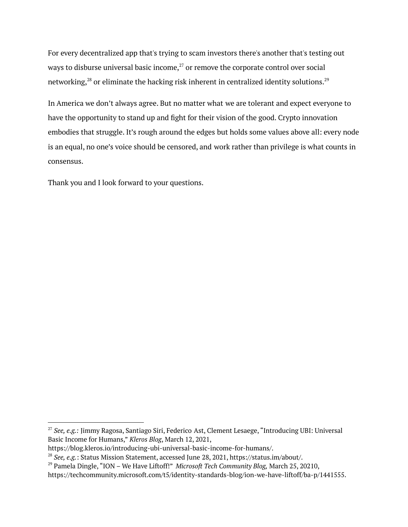For every decentralized app that's trying to scam investors there's another that's testing out ways to disburse universal basic income, $^{27}$  or remove the corporate control over social networking, $^\mathrm{28}$  or eliminate the hacking risk inherent in centralized identity solutions. $^\mathrm{29}$ 

In America we don't always agree. But no matter what we are tolerant and expect everyone to have the opportunity to stand up and fight for their vision of the good. Crypto innovation embodies that struggle. It's rough around the edges but holds some values above all: every node is an equal, no one's voice should be censored, and work rather than privilege is what counts in consensus.

Thank you and I look forward to your questions.

<sup>27</sup> *See, e.g.:* Jimmy Ragosa, Santiago Siri, Federico Ast, Clement Lesaege, "Introducing UBI: Universal Basic Income for Humans," *Kleros Blog*, March 12, 2021,

https://blog.kleros.io/introducing-ubi-universal-basic-income-for-humans/.

<sup>28</sup> *See, e.g.*: Status Mission Statement, accessed June 28, 2021, https://status.im/about/.

<sup>29</sup> Pamela Dingle, "ION – We Have Liftoff!" *Microsoft Tech Community Blog,* March 25, 20210,

https://techcommunity.microsoft.com/t5/identity-standards-blog/ion-we-have-liftoff/ba-p/1441555.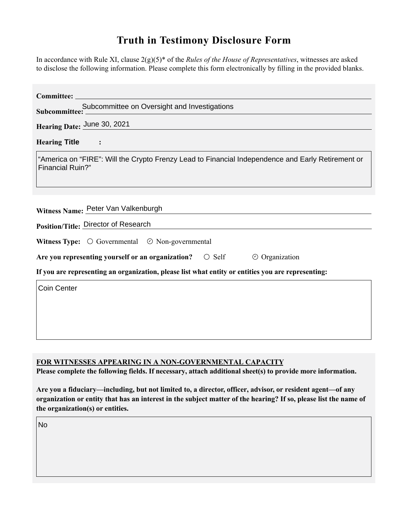# **Truth in Testimony Disclosure Form**

In accordance with Rule XI, clause 2(g)(5)\* of the *Rules of the House of Representatives*, witnesses are asked to disclose the following information. Please complete this form electronically by filling in the provided blanks.

| Committee: ____                                                                                                              |
|------------------------------------------------------------------------------------------------------------------------------|
| Subcommittee: Subcommittee on Oversight and Investigations                                                                   |
| Hearing Date: June 30, 2021                                                                                                  |
| <b>Hearing Title</b><br>$\sim$ $\sim$ $\sim$                                                                                 |
| "America on "FIRE": Will the Crypto Frenzy Lead to Financial Independence and Early Retirement or<br><b>Financial Ruin?"</b> |
|                                                                                                                              |
| Witness Name: Peter Van Valkenburgh                                                                                          |
| Position/Title: Director of Research                                                                                         |
| Witness Type: $\bigcirc$ Governmental $\bigcirc$ Non-governmental                                                            |
| Are you representing yourself or an organization? $\circ$ Self<br>$\odot$ Organization                                       |
| If you are representing an organization, please list what entity or entities you are representing:                           |
| Coin Center                                                                                                                  |
|                                                                                                                              |
|                                                                                                                              |
|                                                                                                                              |

#### **FOR WITNESSES APPEARING IN A NON-GOVERNMENTAL CAPACITY**

Please complete the following fields. If necessary, attach additional sheet(s) to provide more information.

Are you a fiduciary—including, but not limited to, a director, officer, advisor, or resident agent—of any organization or entity that has an interest in the subject matter of the hearing? If so, please list the name of **the organization(s) or entities.**

No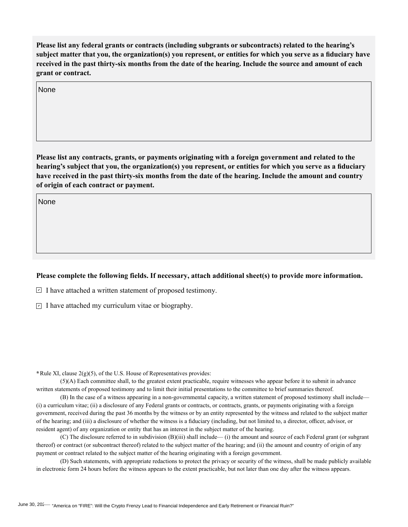Please list any federal grants or contracts (including subgrants or subcontracts) related to the hearing's subject matter that you, the organization(s) you represent, or entities for which you serve as a fiduciary have received in the past thirty-six months from the date of the hearing. Include the source and amount of each **grant or contract.**

None

Please list any contracts, grants, or payments originating with a foreign government and related to the **hearing's subject that you, the organization(s) you represent, or entities for which you serve as a fiduciary** have received in the past thirty-six months from the date of the hearing. Include the amount and country **of origin of each contract or payment.** 

None

#### Please complete the following fields. If necessary, attach additional sheet(s) to provide more information.

 $\Box$  I have attached a written statement of proposed testimony.

 $\Box$  I have attached my curriculum vitae or biography.

**\***Rule XI, clause 2(g)(5), of the U.S. House of Representatives provides:

(5)(A) Each committee shall, to the greatest extent practicable, require witnesses who appear before it to submit in advance written statements of proposed testimony and to limit their initial presentations to the committee to brief summaries thereof.

(B) In the case of a witness appearing in a non-governmental capacity, a written statement of proposed testimony shall include— (i) a curriculum vitae; (ii) a disclosure of any Federal grants or contracts, or contracts, grants, or payments originating with a foreign government, received during the past 36 months by the witness or by an entity represented by the witness and related to the subject matter of the hearing; and (iii) a disclosure of whether the witness is a fiduciary (including, but not limited to, a director, officer, advisor, or resident agent) of any organization or entity that has an interest in the subject matter of the hearing.

(C) The disclosure referred to in subdivision (B)(iii) shall include— (i) the amount and source of each Federal grant (or subgrant thereof) or contract (or subcontract thereof) related to the subject matter of the hearing; and (ii) the amount and country of origin of any payment or contract related to the subject matter of the hearing originating with a foreign government.

(D) Such statements, with appropriate redactions to protect the privacy or security of the witness, shall be made publicly available in electronic form 24 hours before the witness appears to the extent practicable, but not later than one day after the witness appears.